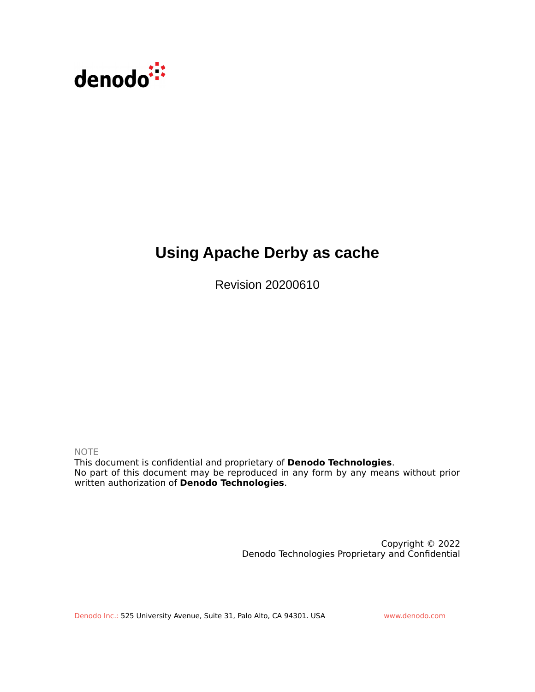

## **Using Apache Derby as cache**

Revision 20200610

NOTE

This document is confidential and proprietary of **Denodo Technologies**. No part of this document may be reproduced in any form by any means without prior written authorization of **Denodo Technologies**.

> Copyright © 2022 Denodo Technologies Proprietary and Confidential

Denodo Inc.: 525 University Avenue, Suite 31, Palo Alto, CA 94301. USA www.denodo.com